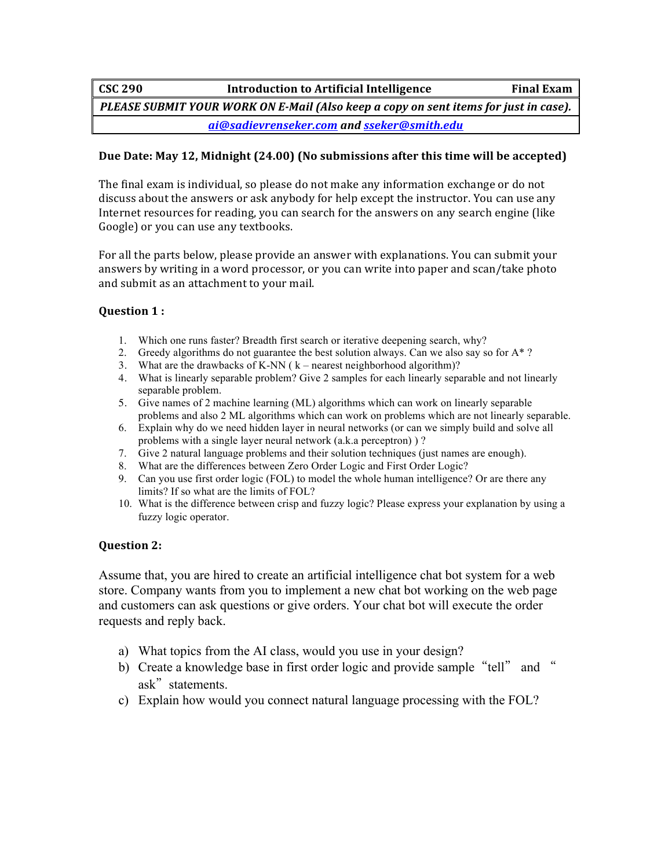**CSC** 290 **Introduction to Artificial Intelligence Final Exam** *PLEASE SUBMIT YOUR WORK ON E-Mail (Also keep a copy on sent items for just in case). ai@sadievrenseker.com and sseker@smith.edu*

## Due Date: May 12, Midnight (24.00) (No submissions after this time will be accepted)

The final exam is individual, so please do not make any information exchange or do not discuss about the answers or ask anybody for help except the instructor. You can use any Internet resources for reading, you can search for the answers on any search engine (like Google) or you can use any textbooks.

For all the parts below, please provide an answer with explanations. You can submit your answers by writing in a word processor, or you can write into paper and scan/take photo and submit as an attachment to your mail.

### **Question 1:**

- 1. Which one runs faster? Breadth first search or iterative deepening search, why?
- 2. Greedy algorithms do not guarantee the best solution always. Can we also say so for  $A^*$ ?
- 3. What are the drawbacks of K-NN ( k nearest neighborhood algorithm)?
- 4. What is linearly separable problem? Give 2 samples for each linearly separable and not linearly separable problem.
- 5. Give names of 2 machine learning (ML) algorithms which can work on linearly separable problems and also 2 ML algorithms which can work on problems which are not linearly separable.
- 6. Explain why do we need hidden layer in neural networks (or can we simply build and solve all problems with a single layer neural network (a.k.a perceptron) ) ?
- 7. Give 2 natural language problems and their solution techniques (just names are enough).
- 8. What are the differences between Zero Order Logic and First Order Logic?
- 9. Can you use first order logic (FOL) to model the whole human intelligence? Or are there any limits? If so what are the limits of FOL?
- 10. What is the difference between crisp and fuzzy logic? Please express your explanation by using a fuzzy logic operator.

# **Question 2:**

Assume that, you are hired to create an artificial intelligence chat bot system for a web store. Company wants from you to implement a new chat bot working on the web page and customers can ask questions or give orders. Your chat bot will execute the order requests and reply back.

- a) What topics from the AI class, would you use in your design?
- b) Create a knowledge base in first order logic and provide sample "tell" and " ask" statements.
- c) Explain how would you connect natural language processing with the FOL?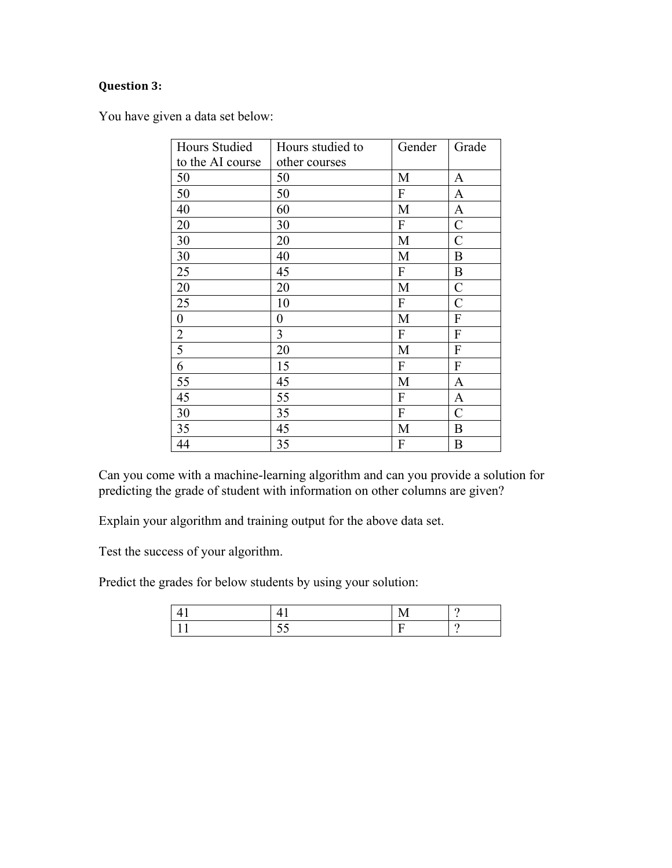# **Question 3:**

You have given a data set below:

| <b>Hours Studied</b> | Hours studied to | Gender           | Grade                     |
|----------------------|------------------|------------------|---------------------------|
| to the AI course     | other courses    |                  |                           |
| 50                   | 50               | M                | A                         |
| 50                   | 50               | ${\bf F}$        | A                         |
| 40                   | 60               | M                | A                         |
| 20                   | 30               | $\boldsymbol{F}$ | $\mathcal{C}_{0}^{0}$     |
| 30                   | 20               | M                | $\mathcal{C}$             |
| 30                   | 40               | M                | $\boldsymbol{B}$          |
| 25                   | 45               | $\mathbf{F}$     | $\boldsymbol{B}$          |
| 20                   | 20               | M                | $\mathcal{C}$             |
| 25                   | 10               | ${\bf F}$        | $\overline{C}$            |
| $\boldsymbol{0}$     | 0                | M                | $\boldsymbol{\mathrm{F}}$ |
| $\overline{c}$       | 3                | F                | ${\bf F}$                 |
| $\overline{5}$       | 20               | M                | ${\bf F}$                 |
| 6                    | 15               | F                | $\boldsymbol{F}$          |
| 55                   | 45               | M                | A                         |
| 45                   | 55               | F                | $\mathbf{A}$              |
| 30                   | 35               | F                | C                         |
| 35                   | 45               | M                | B                         |
| 44                   | 35               | ${\bf F}$        | $\boldsymbol{B}$          |

Can you come with a machine-learning algorithm and can you provide a solution for predicting the grade of student with information on other columns are given?

Explain your algorithm and training output for the above data set.

Test the success of your algorithm.

Predict the grades for below students by using your solution:

|  | ∽ |
|--|---|
|  |   |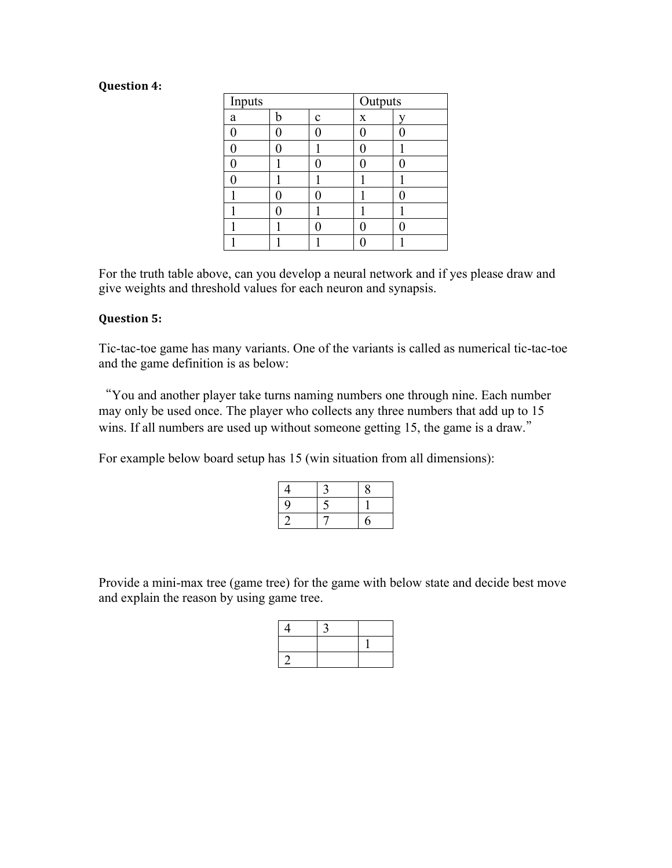#### **Question 4:**

| Inputs |   |             | Outputs |   |
|--------|---|-------------|---------|---|
| a      | h | $\mathbf c$ | X       |   |
| 0      |   | 0           |         | 0 |
| 0      |   |             |         |   |
| 0      |   | 0           |         | 0 |
| 0      |   |             |         |   |
|        |   | Ω           |         | 0 |
|        |   |             |         |   |
|        |   | 0           |         | 0 |
|        |   |             |         |   |

For the truth table above, can you develop a neural network and if yes please draw and give weights and threshold values for each neuron and synapsis.

#### **Question 5:**

Tic-tac-toe game has many variants. One of the variants is called as numerical tic-tac-toe and the game definition is as below:

"You and another player take turns naming numbers one through nine. Each number may only be used once. The player who collects any three numbers that add up to 15 wins. If all numbers are used up without someone getting 15, the game is a draw."

For example below board setup has 15 (win situation from all dimensions):

| 4 |   | 8 |
|---|---|---|
| 9 | ▀ |   |
|   |   | h |

Provide a mini-max tree (game tree) for the game with below state and decide best move and explain the reason by using game tree.